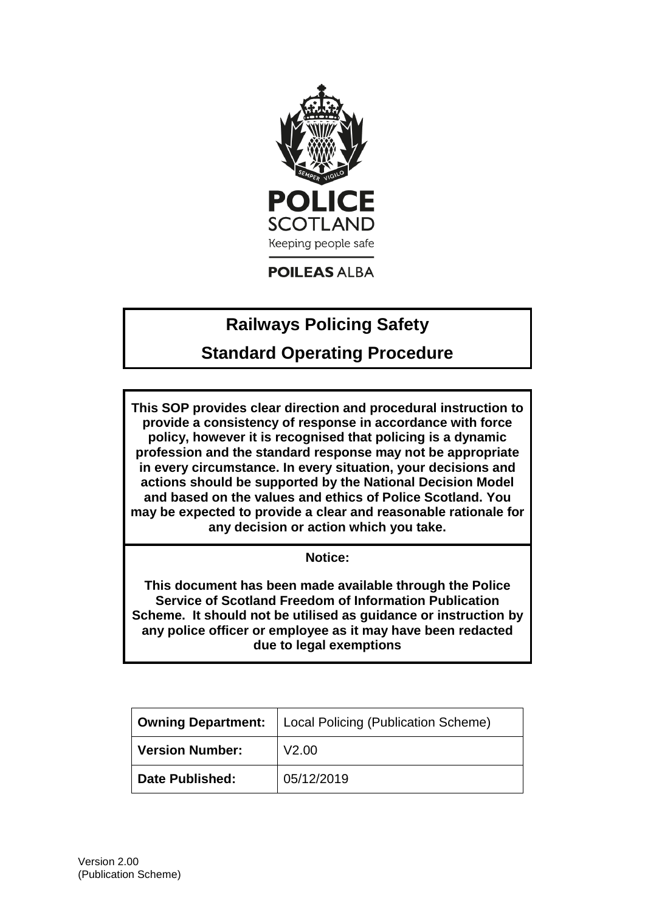

**POILEAS ALBA** 

# **Railways Policing Safety**

# **Standard Operating Procedure**

**This SOP provides clear direction and procedural instruction to provide a consistency of response in accordance with force policy, however it is recognised that policing is a dynamic profession and the standard response may not be appropriate in every circumstance. In every situation, your decisions and actions should be supported by the National Decision Model and based on the values and ethics of Police Scotland. You may be expected to provide a clear and reasonable rationale for any decision or action which you take.**

**Notice:**

**This document has been made available through the Police Service of Scotland Freedom of Information Publication Scheme. It should not be utilised as guidance or instruction by any police officer or employee as it may have been redacted due to legal exemptions**

| <b>Owning Department:</b> | Local Policing (Publication Scheme) |
|---------------------------|-------------------------------------|
| <b>Version Number:</b>    | V2.00                               |
| <b>Date Published:</b>    | 05/12/2019                          |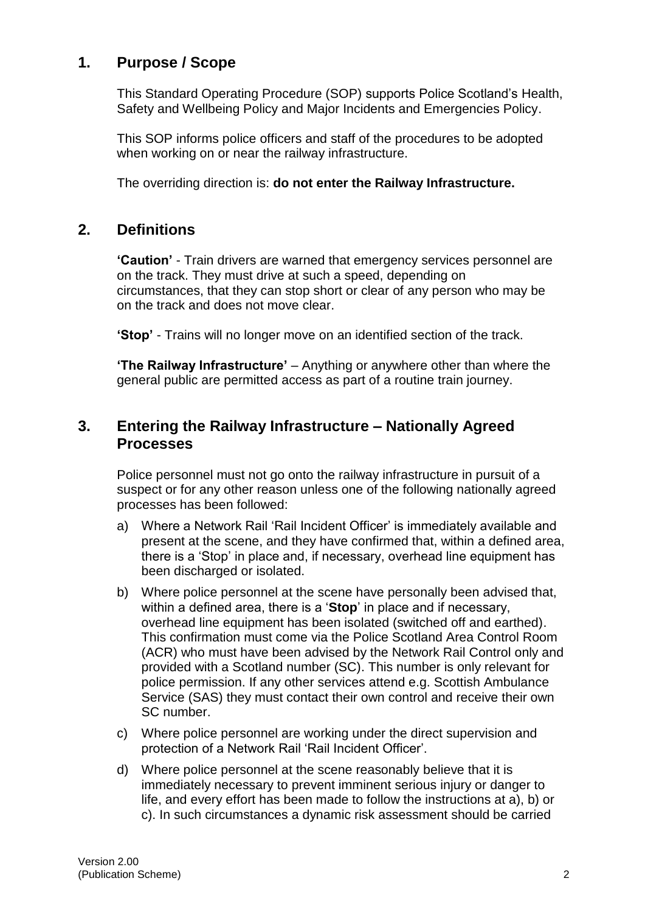# **1. Purpose / Scope**

This Standard Operating Procedure (SOP) supports Police Scotland's Health, Safety and Wellbeing Policy and Major Incidents and Emergencies Policy.

This SOP informs police officers and staff of the procedures to be adopted when working on or near the railway infrastructure.

The overriding direction is: **do not enter the Railway Infrastructure.**

#### **2. Definitions**

**'Caution'** - Train drivers are warned that emergency services personnel are on the track. They must drive at such a speed, depending on circumstances, that they can stop short or clear of any person who may be on the track and does not move clear.

**'Stop'** - Trains will no longer move on an identified section of the track.

**'The Railway Infrastructure'** – Anything or anywhere other than where the general public are permitted access as part of a routine train journey.

### **3. Entering the Railway Infrastructure – Nationally Agreed Processes**

Police personnel must not go onto the railway infrastructure in pursuit of a suspect or for any other reason unless one of the following nationally agreed processes has been followed:

- a) Where a Network Rail 'Rail Incident Officer' is immediately available and present at the scene, and they have confirmed that, within a defined area, there is a 'Stop' in place and, if necessary, overhead line equipment has been discharged or isolated.
- b) Where police personnel at the scene have personally been advised that, within a defined area, there is a '**Stop**' in place and if necessary, overhead line equipment has been isolated (switched off and earthed). This confirmation must come via the Police Scotland Area Control Room (ACR) who must have been advised by the Network Rail Control only and provided with a Scotland number (SC). This number is only relevant for police permission. If any other services attend e.g. Scottish Ambulance Service (SAS) they must contact their own control and receive their own SC number.
- c) Where police personnel are working under the direct supervision and protection of a Network Rail 'Rail Incident Officer'.
- d) Where police personnel at the scene reasonably believe that it is immediately necessary to prevent imminent serious injury or danger to life, and every effort has been made to follow the instructions at a), b) or c). In such circumstances a dynamic risk assessment should be carried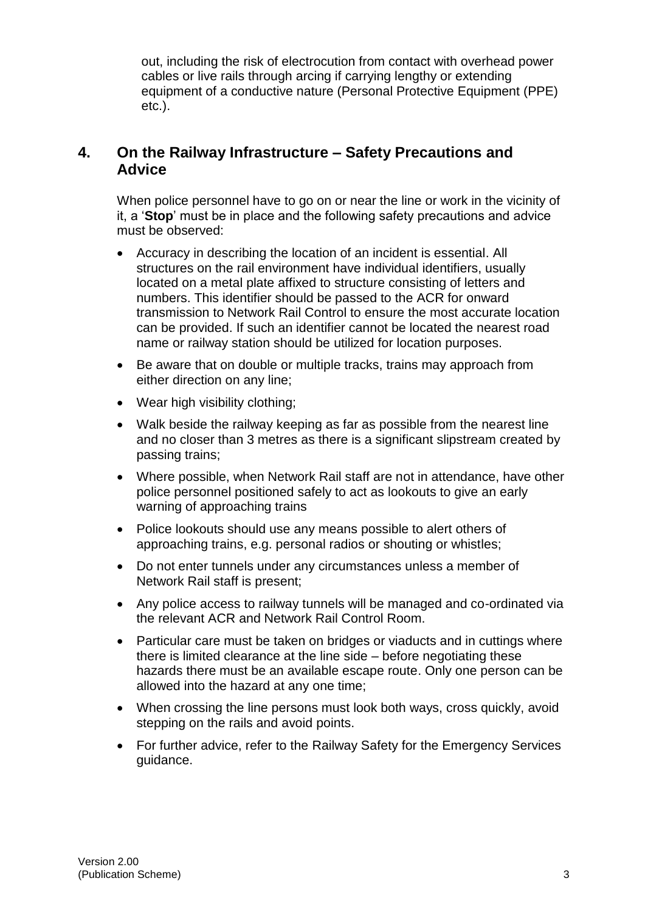out, including the risk of electrocution from contact with overhead power cables or live rails through arcing if carrying lengthy or extending equipment of a conductive nature (Personal Protective Equipment (PPE) etc.).

#### **4. On the Railway Infrastructure – Safety Precautions and Advice**

When police personnel have to go on or near the line or work in the vicinity of it, a '**Stop**' must be in place and the following safety precautions and advice must be observed:

- Accuracy in describing the location of an incident is essential. All structures on the rail environment have individual identifiers, usually located on a metal plate affixed to structure consisting of letters and numbers. This identifier should be passed to the ACR for onward transmission to Network Rail Control to ensure the most accurate location can be provided. If such an identifier cannot be located the nearest road name or railway station should be utilized for location purposes.
- Be aware that on double or multiple tracks, trains may approach from either direction on any line;
- Wear high visibility clothing;
- Walk beside the railway keeping as far as possible from the nearest line and no closer than 3 metres as there is a significant slipstream created by passing trains;
- Where possible, when Network Rail staff are not in attendance, have other police personnel positioned safely to act as lookouts to give an early warning of approaching trains
- Police lookouts should use any means possible to alert others of approaching trains, e.g. personal radios or shouting or whistles;
- Do not enter tunnels under any circumstances unless a member of Network Rail staff is present;
- Any police access to railway tunnels will be managed and co-ordinated via the relevant ACR and Network Rail Control Room.
- Particular care must be taken on bridges or viaducts and in cuttings where there is limited clearance at the line side – before negotiating these hazards there must be an available escape route. Only one person can be allowed into the hazard at any one time;
- When crossing the line persons must look both ways, cross quickly, avoid stepping on the rails and avoid points.
- For further advice, refer to the Railway Safety for the Emergency Services guidance.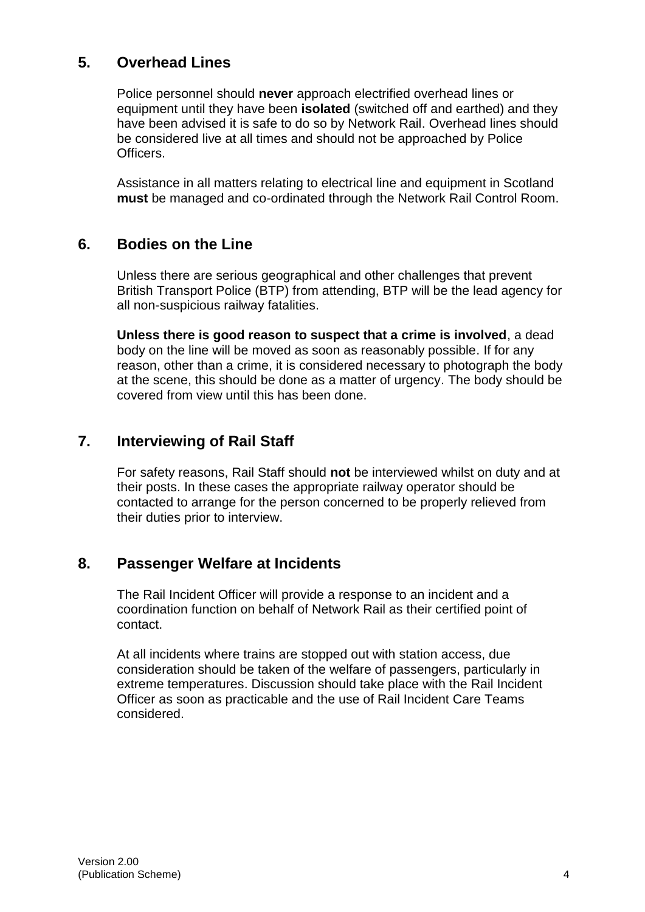# **5. Overhead Lines**

Police personnel should **never** approach electrified overhead lines or equipment until they have been **isolated** (switched off and earthed) and they have been advised it is safe to do so by Network Rail. Overhead lines should be considered live at all times and should not be approached by Police Officers.

Assistance in all matters relating to electrical line and equipment in Scotland **must** be managed and co-ordinated through the Network Rail Control Room.

#### **6. Bodies on the Line**

Unless there are serious geographical and other challenges that prevent British Transport Police (BTP) from attending, BTP will be the lead agency for all non-suspicious railway fatalities.

**Unless there is good reason to suspect that a crime is involved**, a dead body on the line will be moved as soon as reasonably possible. If for any reason, other than a crime, it is considered necessary to photograph the body at the scene, this should be done as a matter of urgency. The body should be covered from view until this has been done.

# **7. Interviewing of Rail Staff**

For safety reasons, Rail Staff should **not** be interviewed whilst on duty and at their posts. In these cases the appropriate railway operator should be contacted to arrange for the person concerned to be properly relieved from their duties prior to interview.

#### **8. Passenger Welfare at Incidents**

The Rail Incident Officer will provide a response to an incident and a coordination function on behalf of Network Rail as their certified point of contact.

At all incidents where trains are stopped out with station access, due consideration should be taken of the welfare of passengers, particularly in extreme temperatures. Discussion should take place with the Rail Incident Officer as soon as practicable and the use of Rail Incident Care Teams considered.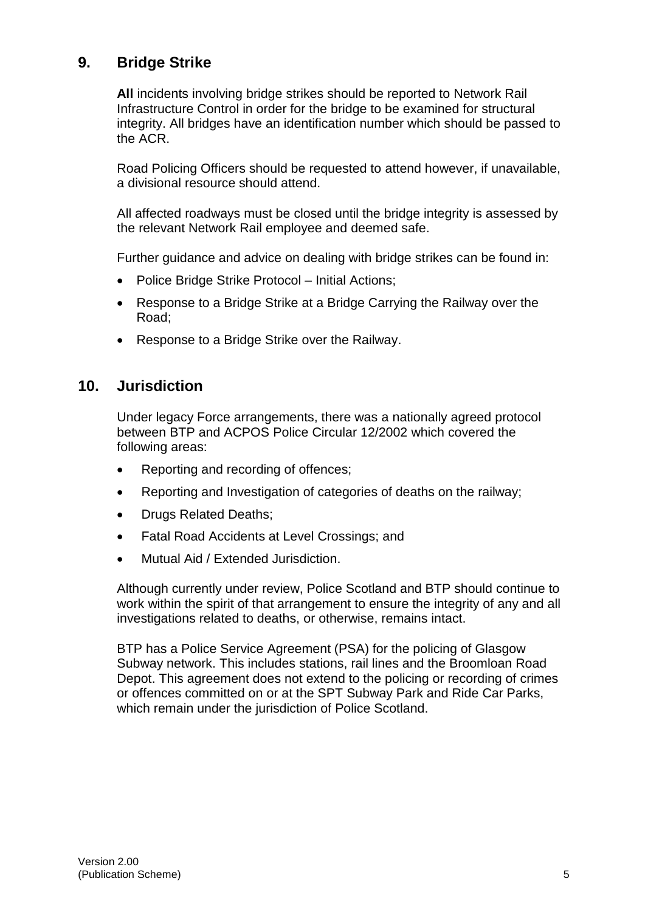# **9. Bridge Strike**

**All** incidents involving bridge strikes should be reported to Network Rail Infrastructure Control in order for the bridge to be examined for structural integrity. All bridges have an identification number which should be passed to the ACR.

Road Policing Officers should be requested to attend however, if unavailable, a divisional resource should attend.

All affected roadways must be closed until the bridge integrity is assessed by the relevant Network Rail employee and deemed safe.

Further guidance and advice on dealing with bridge strikes can be found in:

- Police Bridge Strike Protocol Initial Actions;
- Response to a Bridge Strike at a Bridge Carrying the Railway over the Road;
- Response to a Bridge Strike over the Railway.

#### **10. Jurisdiction**

Under legacy Force arrangements, there was a nationally agreed protocol between BTP and ACPOS Police Circular 12/2002 which covered the following areas:

- Reporting and recording of offences;
- Reporting and Investigation of categories of deaths on the railway;
- Drugs Related Deaths;
- Fatal Road Accidents at Level Crossings; and
- Mutual Aid / Extended Jurisdiction.

Although currently under review, Police Scotland and BTP should continue to work within the spirit of that arrangement to ensure the integrity of any and all investigations related to deaths, or otherwise, remains intact.

BTP has a Police Service Agreement (PSA) for the policing of Glasgow Subway network. This includes stations, rail lines and the Broomloan Road Depot. This agreement does not extend to the policing or recording of crimes or offences committed on or at the SPT Subway Park and Ride Car Parks, which remain under the jurisdiction of Police Scotland.